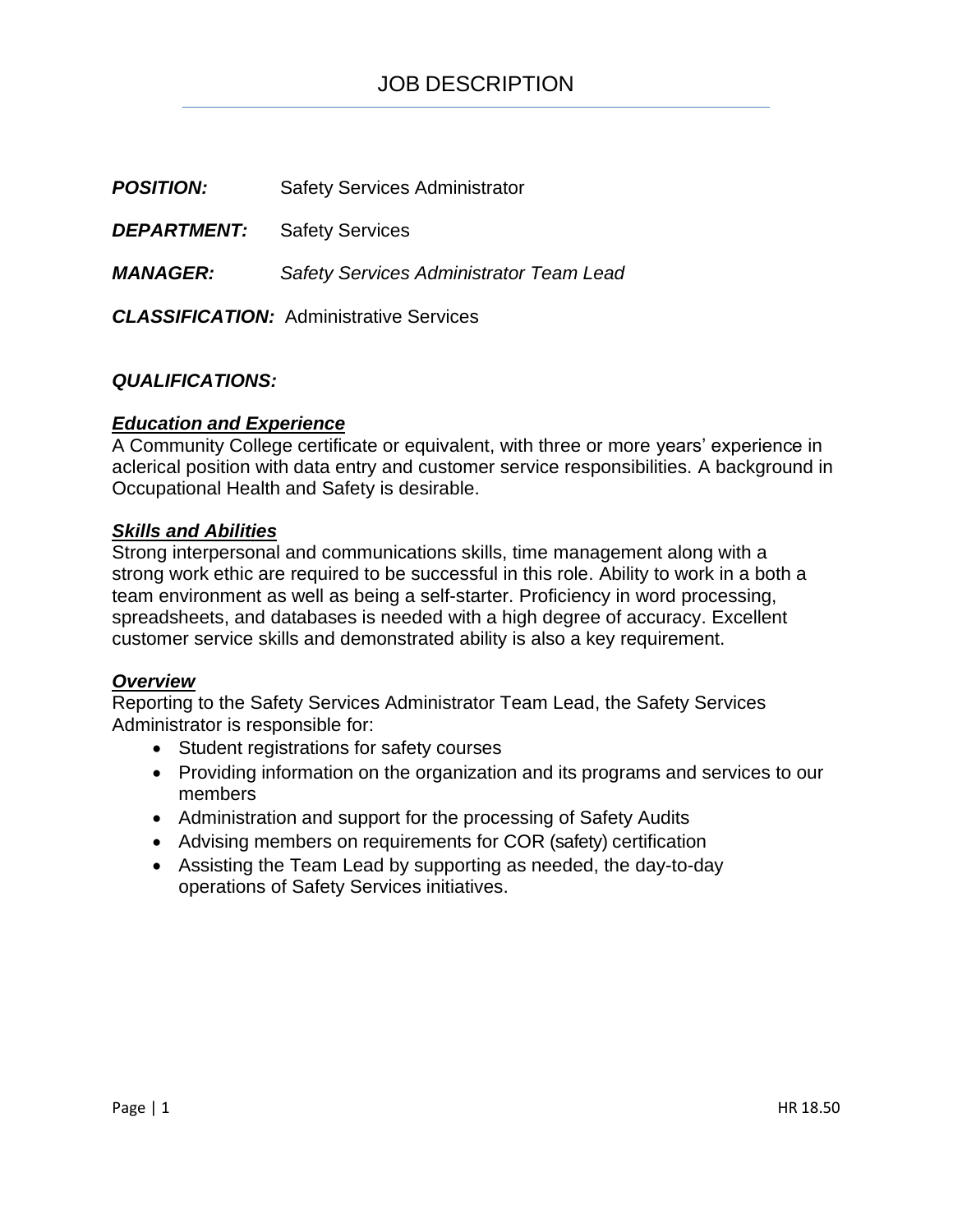**POSITION:** Safety Services Administrator

**DEPARTMENT:** Safety Services

*MANAGER: Safety Services Administrator Team Lead*

*CLASSIFICATION:* Administrative Services

# *QUALIFICATIONS:*

# *Education and Experience*

A Community College certificate or equivalent, with three or more years' experience in aclerical position with data entry and customer service responsibilities. A background in Occupational Health and Safety is desirable.

## *Skills and Abilities*

Strong interpersonal and communications skills, time management along with a strong work ethic are required to be successful in this role. Ability to work in a both a team environment as well as being a self-starter. Proficiency in word processing, spreadsheets, and databases is needed with a high degree of accuracy. Excellent customer service skills and demonstrated ability is also a key requirement.

## *Overview*

Reporting to the Safety Services Administrator Team Lead, the Safety Services Administrator is responsible for:

- Student registrations for safety courses
- Providing information on the organization and its programs and services to our members
- Administration and support for the processing of Safety Audits
- Advising members on requirements for COR (safety) certification
- Assisting the Team Lead by supporting as needed, the day-to-day operations of Safety Services initiatives.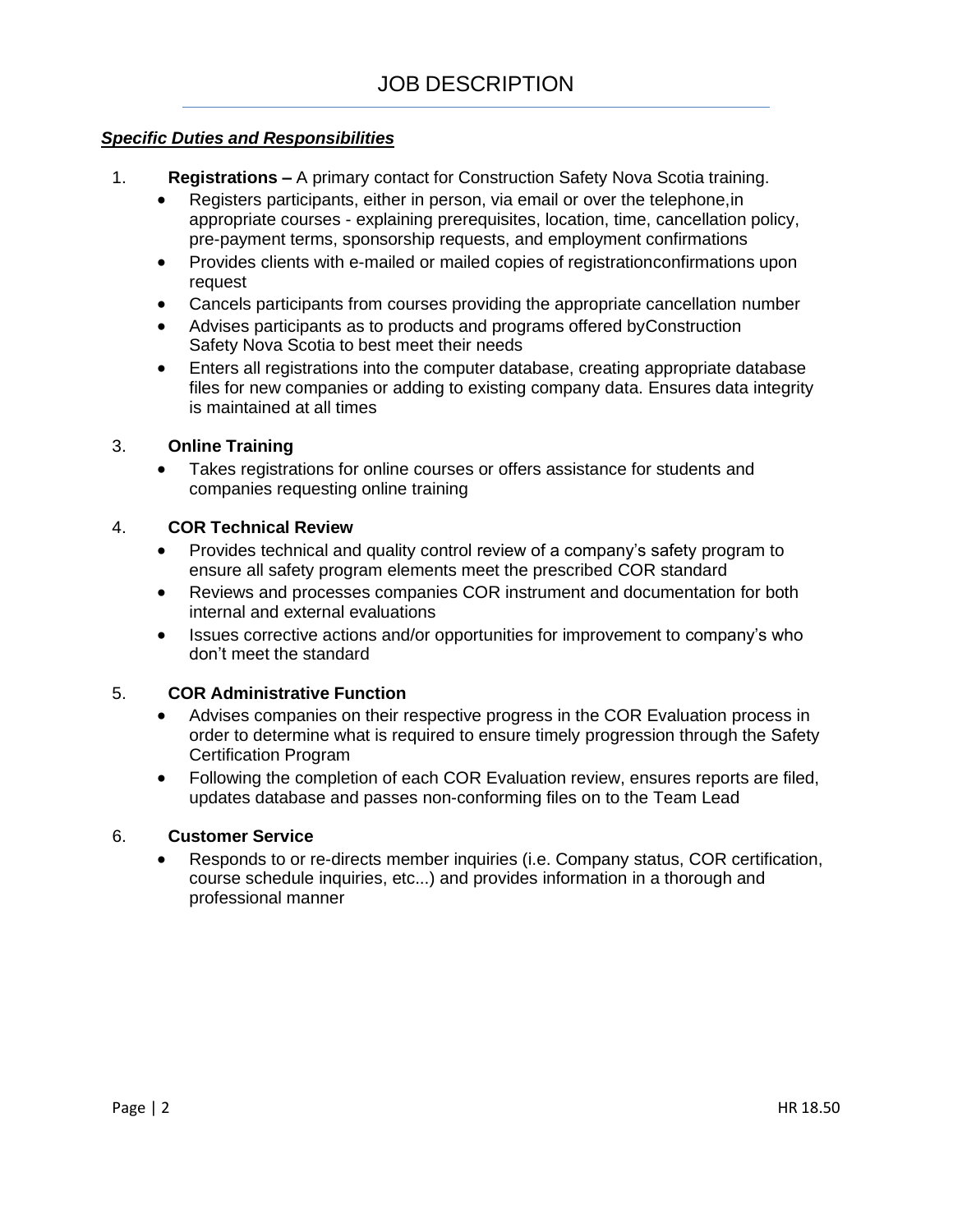# *Specific Duties and Responsibilities*

- 1. **Registrations –** A primary contact for Construction Safety Nova Scotia training.
	- Registers participants, either in person, via email or over the telephone,in appropriate courses - explaining prerequisites, location, time, cancellation policy, pre-payment terms, sponsorship requests, and employment confirmations
	- Provides clients with e-mailed or mailed copies of registrationconfirmations upon request
	- Cancels participants from courses providing the appropriate cancellation number
	- Advises participants as to products and programs offered byConstruction Safety Nova Scotia to best meet their needs
	- Enters all registrations into the computer database, creating appropriate database files for new companies or adding to existing company data. Ensures data integrity is maintained at all times

#### 3. **Online Training**

• Takes registrations for online courses or offers assistance for students and companies requesting online training

#### 4. **COR Technical Review**

- Provides technical and quality control review of a company's safety program to ensure all safety program elements meet the prescribed COR standard
- Reviews and processes companies COR instrument and documentation for both internal and external evaluations
- Issues corrective actions and/or opportunities for improvement to company's who don't meet the standard

### 5. **COR Administrative Function**

- Advises companies on their respective progress in the COR Evaluation process in order to determine what is required to ensure timely progression through the Safety Certification Program
- Following the completion of each COR Evaluation review, ensures reports are filed, updates database and passes non-conforming files on to the Team Lead

#### 6. **Customer Service**

• Responds to or re-directs member inquiries (i.e. Company status, COR certification, course schedule inquiries, etc...) and provides information in a thorough and professional manner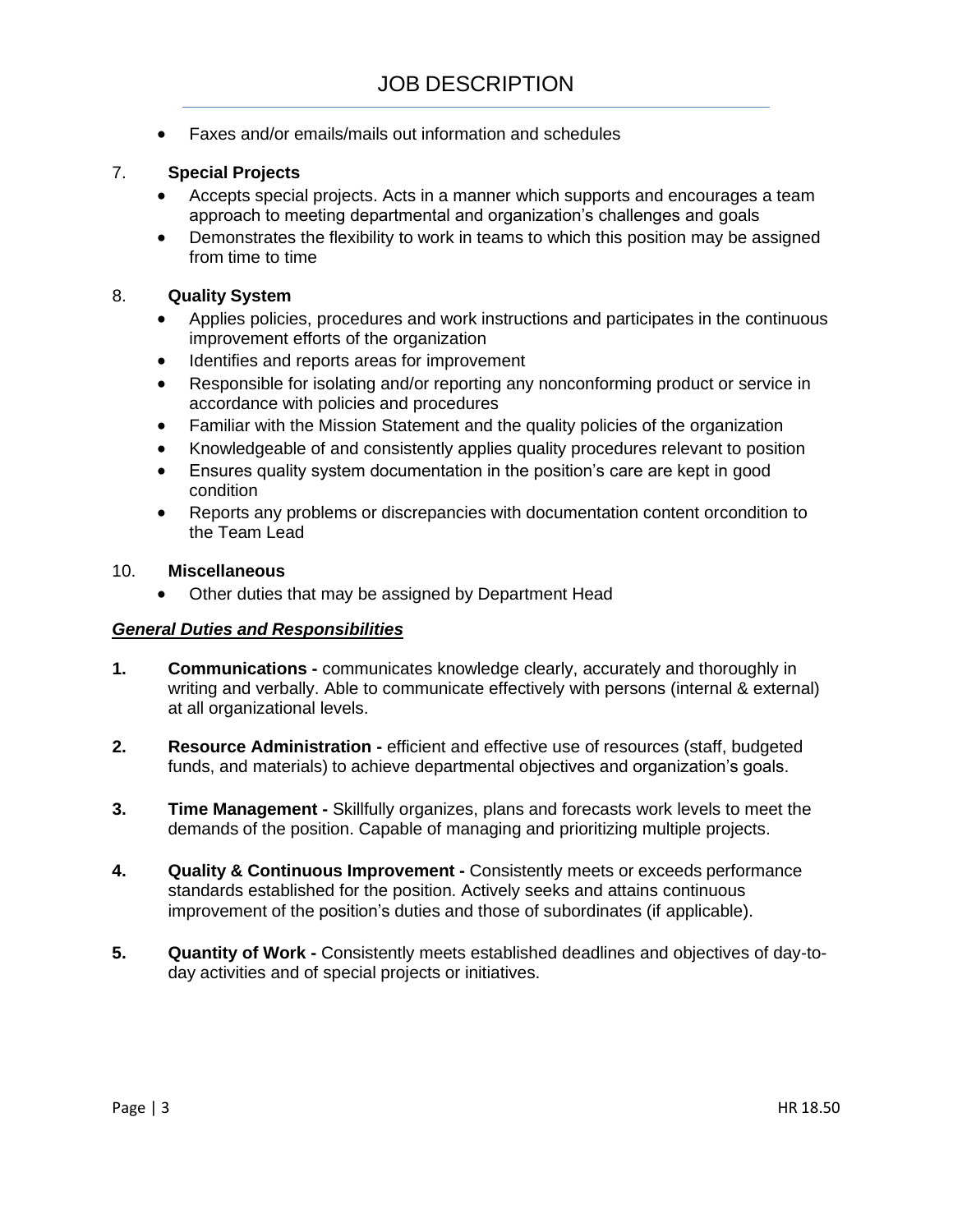• Faxes and/or emails/mails out information and schedules

# 7. **Special Projects**

- Accepts special projects. Acts in a manner which supports and encourages a team approach to meeting departmental and organization's challenges and goals
- Demonstrates the flexibility to work in teams to which this position may be assigned from time to time

## 8. **Quality System**

- Applies policies, procedures and work instructions and participates in the continuous improvement efforts of the organization
- Identifies and reports areas for improvement
- Responsible for isolating and/or reporting any nonconforming product or service in accordance with policies and procedures
- Familiar with the Mission Statement and the quality policies of the organization
- Knowledgeable of and consistently applies quality procedures relevant to position
- Ensures quality system documentation in the position's care are kept in good condition
- Reports any problems or discrepancies with documentation content orcondition to the Team Lead

#### 10. **Miscellaneous**

• Other duties that may be assigned by Department Head

## *General Duties and Responsibilities*

- **1. Communications -** communicates knowledge clearly, accurately and thoroughly in writing and verbally. Able to communicate effectively with persons (internal & external) at all organizational levels.
- **2. Resource Administration -** efficient and effective use of resources (staff, budgeted funds, and materials) to achieve departmental objectives and organization's goals.
- **3. Time Management -** Skillfully organizes, plans and forecasts work levels to meet the demands of the position. Capable of managing and prioritizing multiple projects.
- **4. Quality & Continuous Improvement -** Consistently meets or exceeds performance standards established for the position. Actively seeks and attains continuous improvement of the position's duties and those of subordinates (if applicable).
- **5. Quantity of Work -** Consistently meets established deadlines and objectives of day-today activities and of special projects or initiatives.